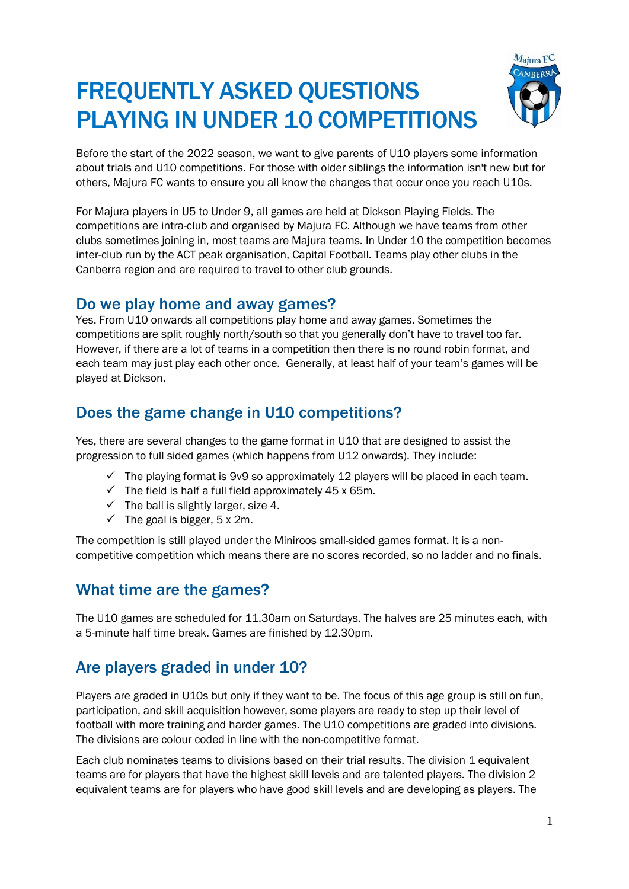# FREQUENTLY ASKED QUESTIONS PLAYING IN UNDER 10 COMPETITIONS



Before the start of the 2022 season, we want to give parents of U10 players some information about trials and U10 competitions. For those with older siblings the information isn't new but for others, Majura FC wants to ensure you all know the changes that occur once you reach U10s.

For Majura players in U5 to Under 9, all games are held at Dickson Playing Fields. The competitions are intra-club and organised by Majura FC. Although we have teams from other clubs sometimes joining in, most teams are Majura teams. In Under 10 the competition becomes inter-club run by the ACT peak organisation, Capital Football. Teams play other clubs in the Canberra region and are required to travel to other club grounds.

#### Do we play home and away games?

Yes. From U10 onwards all competitions play home and away games. Sometimes the competitions are split roughly north/south so that you generally don't have to travel too far. However, if there are a lot of teams in a competition then there is no round robin format, and each team may just play each other once. Generally, at least half of your team's games will be played at Dickson.

# Does the game change in U10 competitions?

Yes, there are several changes to the game format in U10 that are designed to assist the progression to full sided games (which happens from U12 onwards). They include:

- $\checkmark$  The playing format is 9v9 so approximately 12 players will be placed in each team.
- $\checkmark$  The field is half a full field approximately 45 x 65m.
- $\checkmark$  The ball is slightly larger, size 4.
- $\checkmark$  The goal is bigger, 5 x 2m.

The competition is still played under the Miniroos small-sided games format. It is a noncompetitive competition which means there are no scores recorded, so no ladder and no finals.

### What time are the games?

The U10 games are scheduled for 11.30am on Saturdays. The halves are 25 minutes each, with a 5-minute half time break. Games are finished by 12.30pm.

## Are players graded in under 10?

Players are graded in U10s but only if they want to be. The focus of this age group is still on fun, participation, and skill acquisition however, some players are ready to step up their level of football with more training and harder games. The U10 competitions are graded into divisions. The divisions are colour coded in line with the non-competitive format.

Each club nominates teams to divisions based on their trial results. The division 1 equivalent teams are for players that have the highest skill levels and are talented players. The division 2 equivalent teams are for players who have good skill levels and are developing as players. The